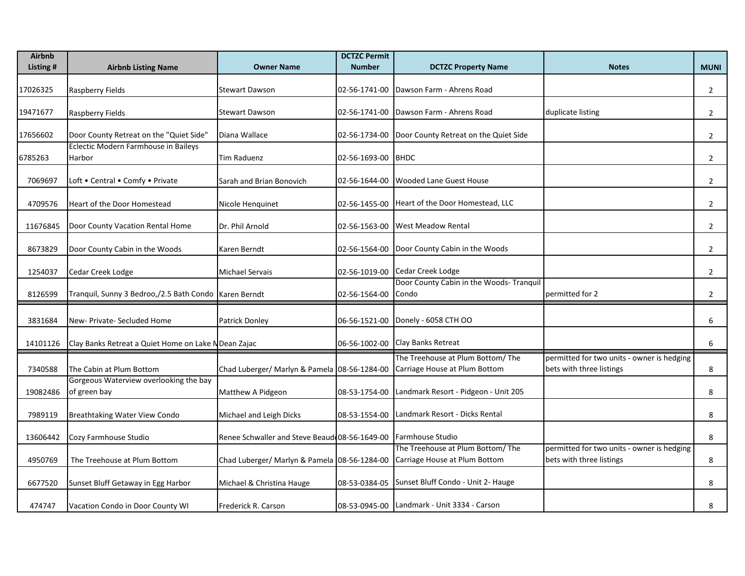| <b>Airbnb</b> |                                                        |                                               | <b>DCTZC Permit</b> |                                                                    |                                                                        |                |
|---------------|--------------------------------------------------------|-----------------------------------------------|---------------------|--------------------------------------------------------------------|------------------------------------------------------------------------|----------------|
| Listing #     | <b>Airbnb Listing Name</b>                             | <b>Owner Name</b>                             | <b>Number</b>       | <b>DCTZC Property Name</b>                                         | <b>Notes</b>                                                           | <b>MUNI</b>    |
|               |                                                        |                                               |                     |                                                                    |                                                                        |                |
| 17026325      | Raspberry Fields                                       | <b>Stewart Dawson</b>                         | 02-56-1741-00       | Dawson Farm - Ahrens Road                                          |                                                                        | $\overline{2}$ |
| 19471677      | Raspberry Fields                                       | <b>Stewart Dawson</b>                         | 02-56-1741-00       | Dawson Farm - Ahrens Road                                          | duplicate listing                                                      | $\overline{2}$ |
| 17656602      | Door County Retreat on the "Quiet Side"                | Diana Wallace                                 | 02-56-1734-00       | Door County Retreat on the Quiet Side                              |                                                                        | $\overline{2}$ |
| 6785263       | Eclectic Modern Farmhouse in Baileys<br>Harbor         | Tim Raduenz                                   | 02-56-1693-00       | <b>BHDC</b>                                                        |                                                                        | $\overline{2}$ |
| 7069697       | Loft • Central • Comfy • Private                       | Sarah and Brian Bonovich                      | 02-56-1644-00       | <b>Wooded Lane Guest House</b>                                     |                                                                        | $\overline{2}$ |
| 4709576       | Heart of the Door Homestead                            | Nicole Henquinet                              | 02-56-1455-00       | Heart of the Door Homestead, LLC                                   |                                                                        | $\overline{2}$ |
| 11676845      | Door County Vacation Rental Home                       | Dr. Phil Arnold                               | 02-56-1563-00       | <b>West Meadow Rental</b>                                          |                                                                        | $\overline{2}$ |
| 8673829       | Door County Cabin in the Woods                         | Karen Berndt                                  | 02-56-1564-00       | Door County Cabin in the Woods                                     |                                                                        | $\overline{2}$ |
| 1254037       | Cedar Creek Lodge                                      | Michael Servais                               | 02-56-1019-00       | Cedar Creek Lodge                                                  |                                                                        | $\overline{2}$ |
| 8126599       | Tranquil, Sunny 3 Bedroo,/2.5 Bath Condo Karen Berndt  |                                               | 02-56-1564-00       | Door County Cabin in the Woods- Tranquil<br>Condo                  | permitted for 2                                                        | $\overline{2}$ |
| 3831684       | New- Private- Secluded Home                            | Patrick Donley                                | 06-56-1521-00       | Donely - 6058 CTH OO                                               |                                                                        | 6              |
| 14101126      | Clay Banks Retreat a Quiet Home on Lake N Dean Zajac   |                                               | 06-56-1002-00       | <b>Clay Banks Retreat</b>                                          |                                                                        | 6              |
| 7340588       | The Cabin at Plum Bottom                               | Chad Luberger/ Marlyn & Pamela 08-56-1284-00  |                     | The Treehouse at Plum Bottom/The<br>Carriage House at Plum Bottom  | permitted for two units - owner is hedging<br>bets with three listings | 8              |
| 19082486      | Gorgeous Waterview overlooking the bay<br>of green bay | Matthew A Pidgeon                             | 08-53-1754-00       | Landmark Resort - Pidgeon - Unit 205                               |                                                                        | 8              |
| 7989119       | Breathtaking Water View Condo                          | Michael and Leigh Dicks                       | 08-53-1554-00       | Landmark Resort - Dicks Rental                                     |                                                                        | 8              |
| 13606442      | Cozy Farmhouse Studio                                  | Renee Schwaller and Steve Beaud 08-56-1649-00 |                     | <b>Farmhouse Studio</b>                                            |                                                                        | 8              |
| 4950769       | The Treehouse at Plum Bottom                           | Chad Luberger/ Marlyn & Pamela 08-56-1284-00  |                     | The Treehouse at Plum Bottom/ The<br>Carriage House at Plum Bottom | permitted for two units - owner is hedging<br>bets with three listings | 8              |
| 6677520       | Sunset Bluff Getaway in Egg Harbor                     | Michael & Christina Hauge                     | 08-53-0384-05       | Sunset Bluff Condo - Unit 2- Hauge                                 |                                                                        | 8              |
| 474747        | Vacation Condo in Door County WI                       | Frederick R. Carson                           |                     | 08-53-0945-00 Landmark - Unit 3334 - Carson                        |                                                                        | 8              |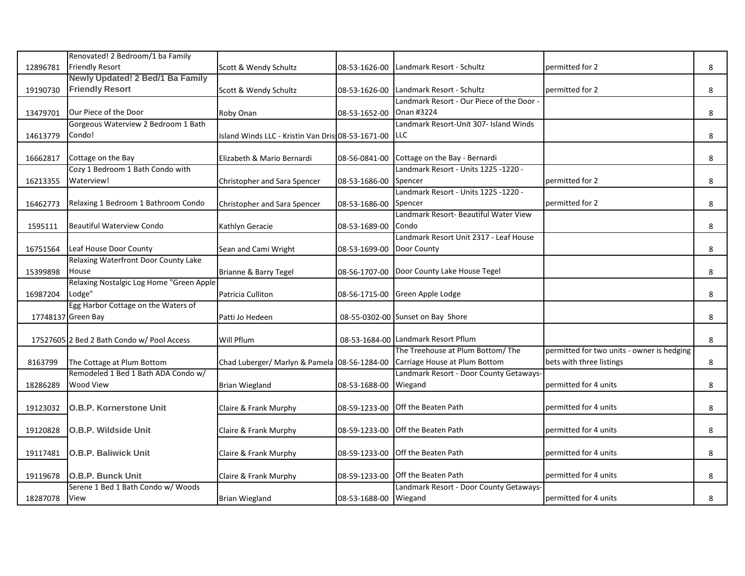|          | Renovated! 2 Bedroom/1 ba Family           |                                                    |                       |                                           |                                            |   |
|----------|--------------------------------------------|----------------------------------------------------|-----------------------|-------------------------------------------|--------------------------------------------|---|
| 12896781 | <b>Friendly Resort</b>                     | Scott & Wendy Schultz                              | 08-53-1626-00         | Landmark Resort - Schultz                 | permitted for 2                            | 8 |
|          | <b>Newly Updated! 2 Bed/1 Ba Family</b>    |                                                    |                       |                                           |                                            |   |
| 19190730 | <b>Friendly Resort</b>                     | Scott & Wendy Schultz                              | 08-53-1626-00         | Landmark Resort - Schultz                 | permitted for 2                            | 8 |
|          |                                            |                                                    |                       | Landmark Resort - Our Piece of the Door - |                                            |   |
| 13479701 | Our Piece of the Door                      | Roby Onan                                          | 08-53-1652-00         | Onan #3224                                |                                            | 8 |
|          | Gorgeous Waterview 2 Bedroom 1 Bath        |                                                    |                       | Landmark Resort-Unit 307- Island Winds    |                                            |   |
| 14613779 | Condo!                                     | Island Winds LLC - Kristin Van Dris: 08-53-1671-00 |                       | <b>ILLC</b>                               |                                            | 8 |
|          |                                            |                                                    |                       |                                           |                                            |   |
| 16662817 | Cottage on the Bay                         | Elizabeth & Mario Bernardi                         | 08-56-0841-00         | Cottage on the Bay - Bernardi             |                                            | 8 |
|          | Cozy 1 Bedroom 1 Bath Condo with           |                                                    |                       | Landmark Resort - Units 1225 -1220 -      |                                            |   |
| 16213355 | Waterview!                                 | Christopher and Sara Spencer                       | 08-53-1686-00         | Spencer                                   | permitted for 2                            | 8 |
|          |                                            |                                                    |                       | Landmark Resort - Units 1225 -1220 -      |                                            |   |
| 16462773 | Relaxing 1 Bedroom 1 Bathroom Condo        | Christopher and Sara Spencer                       | 08-53-1686-00         | Spencer                                   | permitted for 2                            | 8 |
|          |                                            |                                                    |                       | Landmark Resort- Beautiful Water View     |                                            |   |
| 1595111  | <b>Beautiful Waterview Condo</b>           | Kathlyn Geracie                                    | 08-53-1689-00         | Condo                                     |                                            | 8 |
|          |                                            |                                                    |                       | Landmark Resort Unit 2317 - Leaf House    |                                            |   |
| 16751564 | Leaf House Door County                     | Sean and Cami Wright                               | 08-53-1699-00         | Door County                               |                                            | 8 |
|          | Relaxing Waterfront Door County Lake       |                                                    |                       |                                           |                                            |   |
| 15399898 | House                                      | Brianne & Barry Tegel                              | 08-56-1707-00         | Door County Lake House Tegel              |                                            | 8 |
|          | Relaxing Nostalgic Log Home "Green Apple   |                                                    |                       |                                           |                                            |   |
| 16987204 | Lodge"                                     | Patricia Culliton                                  | 08-56-1715-00         | Green Apple Lodge                         |                                            | 8 |
|          | Egg Harbor Cottage on the Waters of        |                                                    |                       |                                           |                                            |   |
|          | 17748137 Green Bay                         | Patti Jo Hedeen                                    |                       | 08-55-0302-00 Sunset on Bay Shore         |                                            | 8 |
|          |                                            |                                                    |                       |                                           |                                            |   |
|          | 17527605 2 Bed 2 Bath Condo w/ Pool Access | Will Pflum                                         |                       | 08-53-1684-00 Landmark Resort Pflum       |                                            | 8 |
|          |                                            |                                                    |                       | The Treehouse at Plum Bottom/The          | permitted for two units - owner is hedging |   |
| 8163799  | The Cottage at Plum Bottom                 | Chad Luberger/ Marlyn & Pamela 08-56-1284-00       |                       | Carriage House at Plum Bottom             | bets with three listings                   | 8 |
|          | Remodeled 1 Bed 1 Bath ADA Condo w/        |                                                    |                       | Landmark Resort - Door County Getaways-   |                                            |   |
| 18286289 | Wood View                                  | <b>Brian Wiegland</b>                              | 08-53-1688-00         | Wiegand                                   | permitted for 4 units                      | 8 |
|          |                                            |                                                    |                       |                                           |                                            |   |
| 19123032 | <b>O.B.P. Kornerstone Unit</b>             | Claire & Frank Murphy                              | 08-59-1233-00         | <b>Off the Beaten Path</b>                | permitted for 4 units                      | 8 |
|          |                                            |                                                    |                       |                                           |                                            |   |
| 19120828 | O.B.P. Wildside Unit                       | Claire & Frank Murphy                              | 08-59-1233-00         | Off the Beaten Path                       | permitted for 4 units                      | 8 |
|          |                                            |                                                    |                       |                                           |                                            |   |
| 19117481 | <b>O.B.P. Baliwick Unit</b>                | Claire & Frank Murphy                              | 08-59-1233-00         | Off the Beaten Path                       | permitted for 4 units                      | 8 |
|          |                                            |                                                    |                       |                                           |                                            |   |
| 19119678 | <b>O.B.P. Bunck Unit</b>                   | Claire & Frank Murphy                              | 08-59-1233-00         | Off the Beaten Path                       | permitted for 4 units                      | 8 |
|          | Serene 1 Bed 1 Bath Condo w/ Woods         |                                                    |                       | Landmark Resort - Door County Getaways-   |                                            |   |
| 18287078 | View                                       | <b>Brian Wiegland</b>                              | 08-53-1688-00 Wiegand |                                           | permitted for 4 units                      | 8 |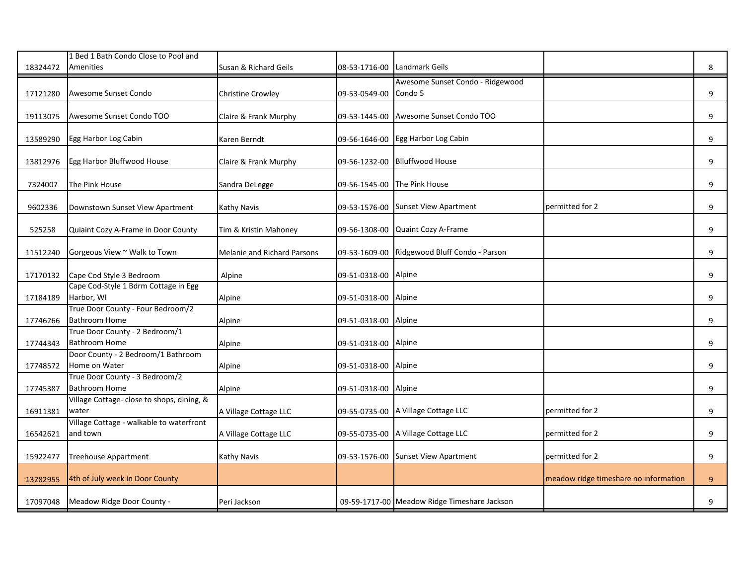|          | 1 Bed 1 Bath Condo Close to Pool and                |                                    |               |                                              |                                       |   |
|----------|-----------------------------------------------------|------------------------------------|---------------|----------------------------------------------|---------------------------------------|---|
| 18324472 | Amenities                                           | Susan & Richard Geils              | 08-53-1716-00 | Landmark Geils                               |                                       | 8 |
|          |                                                     |                                    |               | Awesome Sunset Condo - Ridgewood             |                                       |   |
| 17121280 | Awesome Sunset Condo                                | <b>Christine Crowley</b>           | 09-53-0549-00 | Condo 5                                      |                                       | 9 |
|          |                                                     |                                    |               |                                              |                                       |   |
| 19113075 | Awesome Sunset Condo TOO                            | Claire & Frank Murphy              | 09-53-1445-00 | Awesome Sunset Condo TOO                     |                                       | 9 |
| 13589290 | Egg Harbor Log Cabin                                | Karen Berndt                       |               | Egg Harbor Log Cabin                         |                                       | 9 |
|          |                                                     |                                    | 09-56-1646-00 |                                              |                                       |   |
| 13812976 | Egg Harbor Bluffwood House                          | Claire & Frank Murphy              | 09-56-1232-00 | <b>Blluffwood House</b>                      |                                       | 9 |
|          |                                                     |                                    |               |                                              |                                       |   |
| 7324007  | The Pink House                                      | Sandra DeLegge                     | 09-56-1545-00 | The Pink House                               |                                       | 9 |
|          |                                                     |                                    |               |                                              |                                       |   |
| 9602336  | Downstown Sunset View Apartment                     | <b>Kathy Navis</b>                 | 09-53-1576-00 | <b>Sunset View Apartment</b>                 | permitted for 2                       | 9 |
|          |                                                     |                                    |               |                                              |                                       |   |
| 525258   | Quiaint Cozy A-Frame in Door County                 | Tim & Kristin Mahoney              | 09-56-1308-00 | Quaint Cozy A-Frame                          |                                       | 9 |
| 11512240 | Gorgeous View ~ Walk to Town                        | <b>Melanie and Richard Parsons</b> | 09-53-1609-00 | Ridgewood Bluff Condo - Parson               |                                       | 9 |
|          |                                                     |                                    |               |                                              |                                       |   |
| 17170132 | Cape Cod Style 3 Bedroom                            | Alpine                             | 09-51-0318-00 | Alpine                                       |                                       | 9 |
|          | Cape Cod-Style 1 Bdrm Cottage in Egg                |                                    |               |                                              |                                       |   |
| 17184189 | Harbor, WI                                          | Alpine                             | 09-51-0318-00 | Alpine                                       |                                       | 9 |
|          | True Door County - Four Bedroom/2                   |                                    |               |                                              |                                       |   |
| 17746266 | <b>Bathroom Home</b>                                | Alpine                             | 09-51-0318-00 | Alpine                                       |                                       | 9 |
|          | True Door County - 2 Bedroom/1                      |                                    |               |                                              |                                       |   |
| 17744343 | <b>Bathroom Home</b>                                | Alpine                             | 09-51-0318-00 | Alpine                                       |                                       | 9 |
|          | Door County - 2 Bedroom/1 Bathroom<br>Home on Water |                                    |               | Alpine                                       |                                       |   |
| 17748572 | True Door County - 3 Bedroom/2                      | Alpine                             | 09-51-0318-00 |                                              |                                       | 9 |
| 17745387 | <b>Bathroom Home</b>                                | Alpine                             | 09-51-0318-00 | Alpine                                       |                                       | 9 |
|          | Village Cottage- close to shops, dining, &          |                                    |               |                                              |                                       |   |
| 16911381 | water                                               | A Village Cottage LLC              | 09-55-0735-00 | A Village Cottage LLC                        | permitted for 2                       | 9 |
|          | Village Cottage - walkable to waterfront            |                                    |               |                                              |                                       |   |
| 16542621 | and town                                            | A Village Cottage LLC              | 09-55-0735-00 | A Village Cottage LLC                        | permitted for 2                       | 9 |
|          |                                                     |                                    |               |                                              |                                       |   |
| 15922477 | Treehouse Appartment                                | Kathy Navis                        | 09-53-1576-00 | <b>Sunset View Apartment</b>                 | permitted for 2                       | 9 |
|          |                                                     |                                    |               |                                              |                                       |   |
| 13282955 | 4th of July week in Door County                     |                                    |               |                                              | meadow ridge timeshare no information | 9 |
| 17097048 | Meadow Ridge Door County -                          | Peri Jackson                       |               | 09-59-1717-00 Meadow Ridge Timeshare Jackson |                                       | 9 |
|          |                                                     |                                    |               |                                              |                                       |   |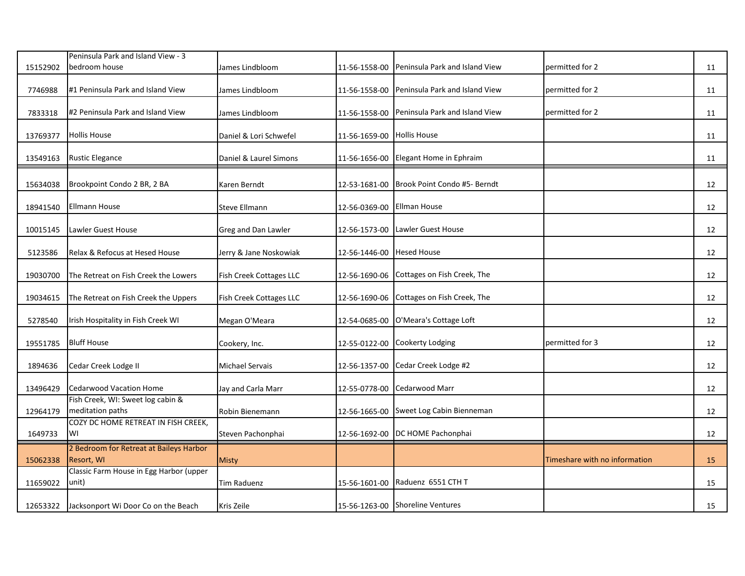|          | Peninsula Park and Island View - 3      |                                |               |                                         |                               |    |
|----------|-----------------------------------------|--------------------------------|---------------|-----------------------------------------|-------------------------------|----|
| 15152902 | bedroom house                           | James Lindbloom                | 11-56-1558-00 | Peninsula Park and Island View          | permitted for 2               | 11 |
|          |                                         |                                |               |                                         |                               |    |
| 7746988  | #1 Peninsula Park and Island View       | James Lindbloom                | 11-56-1558-00 | Peninsula Park and Island View          | permitted for 2               | 11 |
|          |                                         |                                |               |                                         |                               |    |
| 7833318  | #2 Peninsula Park and Island View       | James Lindbloom                | 11-56-1558-00 | Peninsula Park and Island View          | permitted for 2               | 11 |
|          |                                         |                                |               |                                         |                               |    |
| 13769377 | <b>Hollis House</b>                     | Daniel & Lori Schwefel         | 11-56-1659-00 | <b>Hollis House</b>                     |                               | 11 |
|          |                                         |                                |               |                                         |                               |    |
|          |                                         |                                |               |                                         |                               |    |
| 13549163 | <b>Rustic Elegance</b>                  | Daniel & Laurel Simons         | 11-56-1656-00 | Elegant Home in Ephraim                 |                               | 11 |
|          |                                         |                                |               |                                         |                               |    |
| 15634038 | Brookpoint Condo 2 BR, 2 BA             | Karen Berndt                   | 12-53-1681-00 | Brook Point Condo #5- Berndt            |                               | 12 |
|          |                                         |                                |               |                                         |                               |    |
| 18941540 | <b>Ellmann House</b>                    | <b>Steve Ellmann</b>           | 12-56-0369-00 | <b>Ellman House</b>                     |                               | 12 |
|          |                                         |                                |               |                                         |                               |    |
| 10015145 | Lawler Guest House                      | Greg and Dan Lawler            | 12-56-1573-00 | <b>Lawler Guest House</b>               |                               | 12 |
|          |                                         |                                |               |                                         |                               |    |
|          |                                         |                                |               |                                         |                               |    |
| 5123586  | Relax & Refocus at Hesed House          | Jerry & Jane Noskowiak         | 12-56-1446-00 | <b>Hesed House</b>                      |                               | 12 |
|          |                                         |                                |               |                                         |                               |    |
| 19030700 | The Retreat on Fish Creek the Lowers    | Fish Creek Cottages LLC        | 12-56-1690-06 | Cottages on Fish Creek, The             |                               | 12 |
|          |                                         |                                |               |                                         |                               |    |
| 19034615 | The Retreat on Fish Creek the Uppers    | <b>Fish Creek Cottages LLC</b> | 12-56-1690-06 | Cottages on Fish Creek, The             |                               | 12 |
|          |                                         |                                |               |                                         |                               |    |
| 5278540  | Irish Hospitality in Fish Creek WI      | Megan O'Meara                  | 12-54-0685-00 | O'Meara's Cottage Loft                  |                               | 12 |
|          |                                         |                                |               |                                         |                               |    |
| 19551785 | <b>Bluff House</b>                      | Cookery, Inc.                  | 12-55-0122-00 | <b>Cookerty Lodging</b>                 | permitted for 3               | 12 |
|          |                                         |                                |               |                                         |                               |    |
|          |                                         |                                |               |                                         |                               |    |
| 1894636  | Cedar Creek Lodge II                    | <b>Michael Servais</b>         | 12-56-1357-00 | Cedar Creek Lodge #2                    |                               | 12 |
|          |                                         |                                |               |                                         |                               |    |
| 13496429 | <b>Cedarwood Vacation Home</b>          | Jay and Carla Marr             | 12-55-0778-00 | Cedarwood Marr                          |                               | 12 |
|          | Fish Creek, WI: Sweet log cabin &       |                                |               |                                         |                               |    |
| 12964179 | meditation paths                        | Robin Bienemann                |               | 12-56-1665-00 Sweet Log Cabin Bienneman |                               | 12 |
|          | COZY DC HOME RETREAT IN FISH CREEK,     |                                |               |                                         |                               |    |
| 1649733  | WI                                      | Steven Pachonphai              | 12-56-1692-00 | DC HOME Pachonphai                      |                               | 12 |
|          |                                         |                                |               |                                         |                               |    |
|          | 2 Bedroom for Retreat at Baileys Harbor |                                |               |                                         |                               |    |
| 15062338 | Resort, WI                              | <b>Misty</b>                   |               |                                         | Timeshare with no information | 15 |
|          | Classic Farm House in Egg Harbor (upper |                                |               |                                         |                               |    |
| 11659022 | unit)                                   | Tim Raduenz                    | 15-56-1601-00 | Raduenz 6551 CTH T                      |                               | 15 |
|          |                                         |                                |               |                                         |                               |    |
| 12653322 | Jacksonport Wi Door Co on the Beach     | Kris Zeile                     |               | 15-56-1263-00 Shoreline Ventures        |                               | 15 |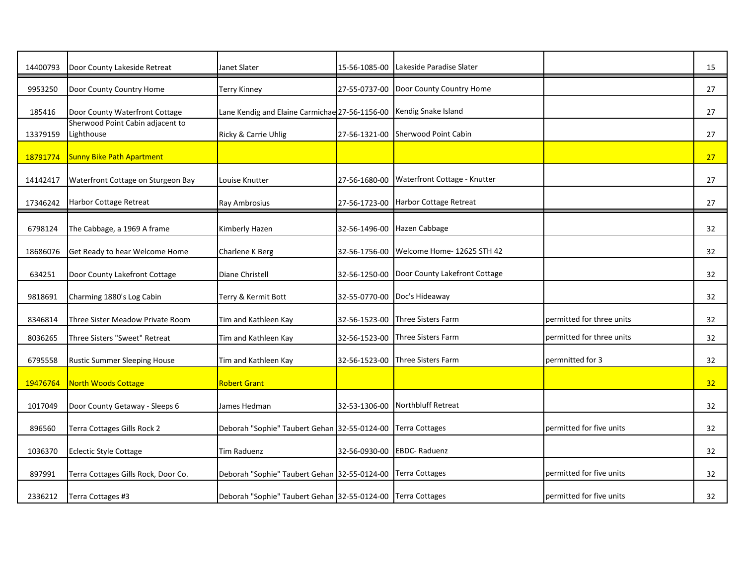| 14400793 | Door County Lakeside Retreat                   | Janet Slater                                                       | 15-56-1085-00               | Lakeside Paradise Slater                    |                           | 15 |
|----------|------------------------------------------------|--------------------------------------------------------------------|-----------------------------|---------------------------------------------|---------------------------|----|
| 9953250  | Door County Country Home                       | <b>Terry Kinney</b>                                                |                             | 27-55-0737-00 Door County Country Home      |                           | 27 |
| 185416   | Door County Waterfront Cottage                 | Lane Kendig and Elaine Carmichae 27-56-1156-00 Kendig Snake Island |                             |                                             |                           | 27 |
| 13379159 | Sherwood Point Cabin adjacent to<br>Lighthouse | Ricky & Carrie Uhlig                                               |                             | 27-56-1321-00 Sherwood Point Cabin          |                           | 27 |
| 18791774 | <b>Sunny Bike Path Apartment</b>               |                                                                    |                             |                                             |                           | 27 |
| 14142417 | Waterfront Cottage on Sturgeon Bay             | Louise Knutter                                                     |                             | 27-56-1680-00 Waterfront Cottage - Knutter  |                           | 27 |
| 17346242 | <b>Harbor Cottage Retreat</b>                  | Ray Ambrosius                                                      |                             | 27-56-1723-00 Harbor Cottage Retreat        |                           | 27 |
| 6798124  | The Cabbage, a 1969 A frame                    | Kimberly Hazen                                                     | 32-56-1496-00 Hazen Cabbage |                                             |                           | 32 |
| 18686076 | Get Ready to hear Welcome Home                 | Charlene K Berg                                                    |                             | 32-56-1756-00 Welcome Home- 12625 STH 42    |                           | 32 |
| 634251   | Door County Lakefront Cottage                  | Diane Christell                                                    |                             | 32-56-1250-00 Door County Lakefront Cottage |                           | 32 |
| 9818691  | Charming 1880's Log Cabin                      | Terry & Kermit Bott                                                |                             | 32-55-0770-00 Doc's Hideaway                |                           | 32 |
| 8346814  | Three Sister Meadow Private Room               | Tim and Kathleen Kay                                               | 32-56-1523-00               | Three Sisters Farm                          | permitted for three units | 32 |
| 8036265  | Three Sisters "Sweet" Retreat                  | Tim and Kathleen Kay                                               | 32-56-1523-00               | Three Sisters Farm                          | permitted for three units | 32 |
| 6795558  | <b>Rustic Summer Sleeping House</b>            | Tim and Kathleen Kay                                               |                             | 32-56-1523-00 Three Sisters Farm            | permnitted for 3          | 32 |
| 19476764 | North Woods Cottage                            | <b>Robert Grant</b>                                                |                             |                                             |                           | 32 |
| 1017049  | Door County Getaway - Sleeps 6                 | James Hedman                                                       | 32-53-1306-00               | Northbluff Retreat                          |                           | 32 |
| 896560   | Terra Cottages Gills Rock 2                    | Deborah "Sophie" Taubert Gehan 32-55-0124-00                       |                             | <b>Terra Cottages</b>                       | permitted for five units  | 32 |
| 1036370  | <b>Eclectic Style Cottage</b>                  | <b>Tim Raduenz</b>                                                 | 32-56-0930-00               | <b>EBDC-Raduenz</b>                         |                           | 32 |
| 897991   | Terra Cottages Gills Rock, Door Co.            | Deborah "Sophie" Taubert Gehan 32-55-0124-00                       |                             | <b>Terra Cottages</b>                       | permitted for five units  | 32 |
| 2336212  | Terra Cottages #3                              | Deborah "Sophie" Taubert Gehan 32-55-0124-00 Terra Cottages        |                             |                                             | permitted for five units  | 32 |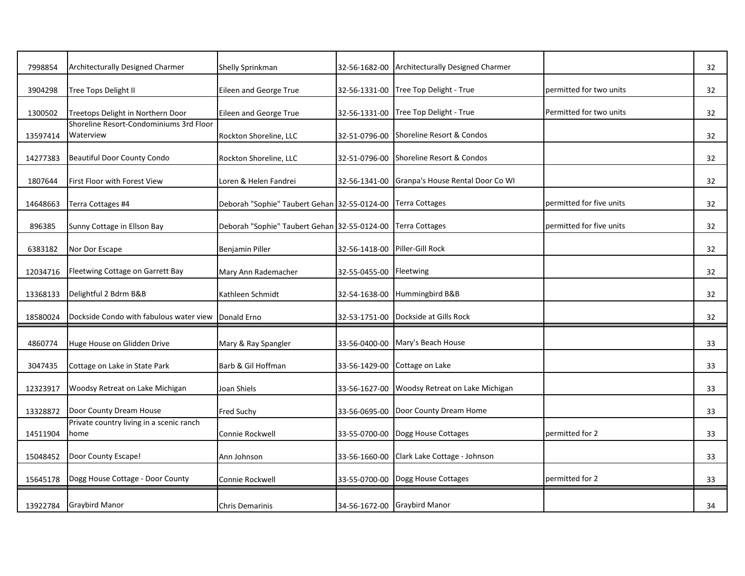| 7998854  | Architecturally Designed Charmer                     | Shelly Sprinkman                             | 32-56-1682-00 | Architecturally Designed Charmer |                          | 32              |
|----------|------------------------------------------------------|----------------------------------------------|---------------|----------------------------------|--------------------------|-----------------|
| 3904298  | Tree Tops Delight II                                 | Eileen and George True                       | 32-56-1331-00 | Tree Top Delight - True          | permitted for two units  | 32 <sup>2</sup> |
| 1300502  | Treetops Delight in Northern Door                    | Eileen and George True                       | 32-56-1331-00 | Tree Top Delight - True          | Permitted for two units  | 32              |
| 13597414 | Shoreline Resort-Condominiums 3rd Floor<br>Waterview | Rockton Shoreline, LLC                       | 32-51-0796-00 | Shoreline Resort & Condos        |                          | 32              |
| 14277383 | <b>Beautiful Door County Condo</b>                   | Rockton Shoreline, LLC                       | 32-51-0796-00 | Shoreline Resort & Condos        |                          | 32              |
| 1807644  | First Floor with Forest View                         | Loren & Helen Fandrei                        | 32-56-1341-00 | Granpa's House Rental Door Co WI |                          | 32              |
| 14648663 | Terra Cottages #4                                    | Deborah "Sophie" Taubert Gehan 32-55-0124-00 |               | <b>Terra Cottages</b>            | permitted for five units | 32              |
| 896385   | Sunny Cottage in Ellson Bay                          | Deborah "Sophie" Taubert Gehan 32-55-0124-00 |               | Terra Cottages                   | permitted for five units | 32              |
| 6383182  | Nor Dor Escape                                       | Benjamin Piller                              | 32-56-1418-00 | Piller-Gill Rock                 |                          | 32              |
| 12034716 | Fleetwing Cottage on Garrett Bay                     | Mary Ann Rademacher                          | 32-55-0455-00 | Fleetwing                        |                          | 32              |
| 13368133 | Delightful 2 Bdrm B&B                                | Kathleen Schmidt                             | 32-54-1638-00 | Hummingbird B&B                  |                          | 32              |
| 18580024 | Dockside Condo with fabulous water view Donald Erno  |                                              | 32-53-1751-00 | Dockside at Gills Rock           |                          | 32              |
| 4860774  | Huge House on Glidden Drive                          | Mary & Ray Spangler                          | 33-56-0400-00 | Mary's Beach House               |                          | 33              |
| 3047435  | Cottage on Lake in State Park                        | Barb & Gil Hoffman                           | 33-56-1429-00 | Cottage on Lake                  |                          | 33              |
| 12323917 | Woodsy Retreat on Lake Michigan                      | Joan Shiels                                  | 33-56-1627-00 | Woodsy Retreat on Lake Michigan  |                          | 33              |
| 13328872 | Door County Dream House                              | <b>Fred Suchy</b>                            | 33-56-0695-00 | Door County Dream Home           |                          |                 |
|          | Private country living in a scenic ranch<br>home     |                                              |               | Dogg House Cottages              | permitted for 2          | 33              |
| 14511904 |                                                      | <b>Connie Rockwell</b>                       | 33-55-0700-00 |                                  |                          | 33              |
| 15048452 | Door County Escape!                                  | Ann Johnson                                  | 33-56-1660-00 | Clark Lake Cottage - Johnson     | permitted for 2          | 33              |
| 15645178 | Dogg House Cottage - Door County                     | Connie Rockwell                              | 33-55-0700-00 | Dogg House Cottages              |                          | 33              |
| 13922784 | <b>Graybird Manor</b>                                | <b>Chris Demarinis</b>                       |               | 34-56-1672-00 Graybird Manor     |                          | 34              |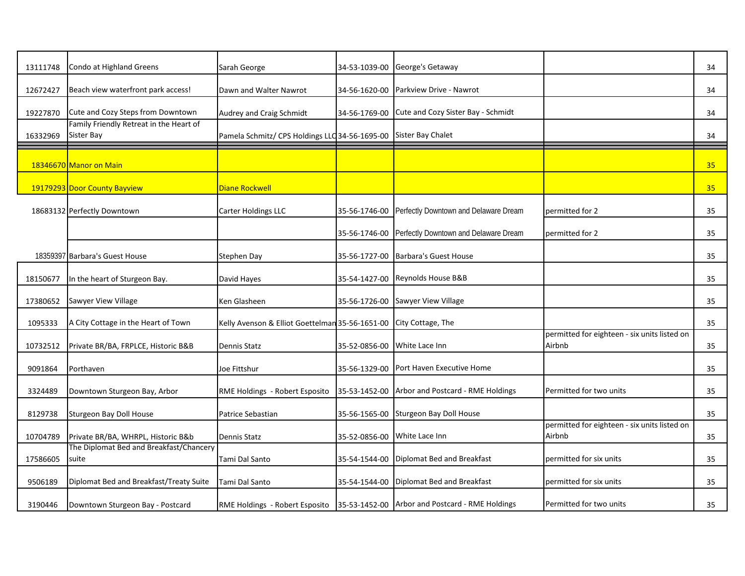| 13111748 | Condo at Highland Greens                              | Sarah George                                                     | 34-53-1039-00 | George's Getaway                                                                   |                                                        | 34 |
|----------|-------------------------------------------------------|------------------------------------------------------------------|---------------|------------------------------------------------------------------------------------|--------------------------------------------------------|----|
| 12672427 | Beach view waterfront park access!                    | Dawn and Walter Nawrot                                           | 34-56-1620-00 | Parkview Drive - Nawrot                                                            |                                                        | 34 |
| 19227870 | Cute and Cozy Steps from Downtown                     | Audrey and Craig Schmidt                                         | 34-56-1769-00 | Cute and Cozy Sister Bay - Schmidt                                                 |                                                        | 34 |
| 16332969 | Family Friendly Retreat in the Heart of<br>Sister Bay | Pamela Schmitz/ CPS Holdings LLC 34-56-1695-00 Sister Bay Chalet |               |                                                                                    |                                                        | 34 |
|          | 18346670 Manor on Main                                |                                                                  |               |                                                                                    |                                                        | 35 |
|          | 19179293 Door County Bayview                          | Diane Rockwell                                                   |               |                                                                                    |                                                        | 35 |
|          | 18683132 Perfectly Downtown                           | Carter Holdings LLC                                              | 35-56-1746-00 | Perfectly Downtown and Delaware Dream                                              | permitted for 2                                        | 35 |
|          |                                                       |                                                                  | 35-56-1746-00 | Perfectly Downtown and Delaware Dream                                              | permitted for 2                                        | 35 |
|          | 18359397 Barbara's Guest House                        | Stephen Day                                                      | 35-56-1727-00 | Barbara's Guest House                                                              |                                                        | 35 |
| 18150677 | In the heart of Sturgeon Bay.                         | David Hayes                                                      | 35-54-1427-00 | Reynolds House B&B                                                                 |                                                        | 35 |
| 17380652 | <b>Sawyer View Village</b>                            | Ken Glasheen                                                     | 35-56-1726-00 | <b>Sawyer View Village</b>                                                         |                                                        | 35 |
| 1095333  | A City Cottage in the Heart of Town                   | Kelly Avenson & Elliot Goettelman 35-56-1651-00                  |               | City Cottage, The                                                                  |                                                        | 35 |
| 10732512 | Private BR/BA, FRPLCE, Historic B&B                   | <b>Dennis Statz</b>                                              | 35-52-0856-00 | White Lace Inn                                                                     | permitted for eighteen - six units listed on<br>Airbnb | 35 |
| 9091864  | Porthaven                                             | Joe Fittshur                                                     | 35-56-1329-00 | Port Haven Executive Home                                                          |                                                        | 35 |
| 3324489  | Downtown Sturgeon Bay, Arbor                          | RME Holdings - Robert Esposito                                   | 35-53-1452-00 | Arbor and Postcard - RME Holdings                                                  | Permitted for two units                                | 35 |
| 8129738  | Sturgeon Bay Doll House                               | Patrice Sebastian                                                | 35-56-1565-00 | Sturgeon Bay Doll House                                                            |                                                        | 35 |
| 10704789 | Private BR/BA, WHRPL, Historic B&b                    | Dennis Statz                                                     | 35-52-0856-00 | White Lace Inn                                                                     | permitted for eighteen - six units listed on<br>Airbnb | 35 |
| 17586605 | The Diplomat Bed and Breakfast/Chancery<br>suite      | Tami Dal Santo                                                   | 35-54-1544-00 | Diplomat Bed and Breakfast                                                         | permitted for six units                                | 35 |
| 9506189  | Diplomat Bed and Breakfast/Treaty Suite               | Tami Dal Santo                                                   | 35-54-1544-00 | Diplomat Bed and Breakfast                                                         | permitted for six units                                | 35 |
| 3190446  | Downtown Sturgeon Bay - Postcard                      |                                                                  |               | RME Holdings - Robert Esposito   35-53-1452-00   Arbor and Postcard - RME Holdings | Permitted for two units                                | 35 |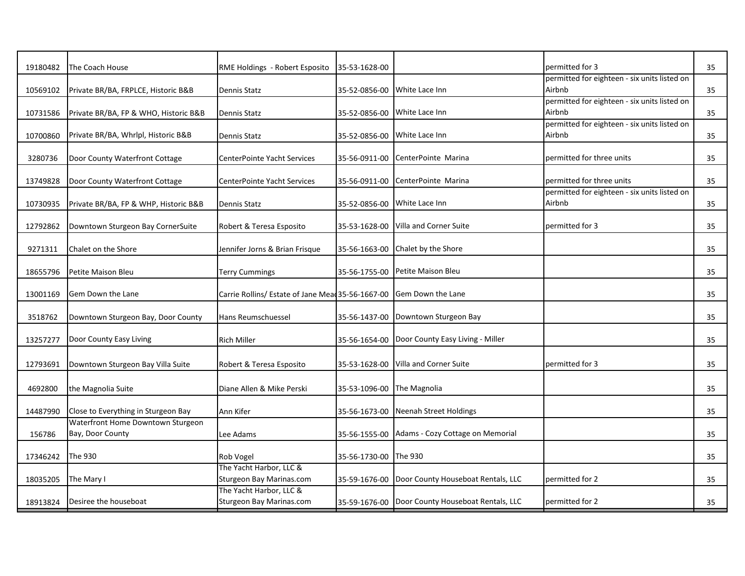| 19180482 | The Coach House                       | RME Holdings - Robert Esposito                    | 35-53-1628-00 |                                                  | permitted for 3                                        | 35 |
|----------|---------------------------------------|---------------------------------------------------|---------------|--------------------------------------------------|--------------------------------------------------------|----|
| 10569102 | Private BR/BA, FRPLCE, Historic B&B   | Dennis Statz                                      | 35-52-0856-00 | White Lace Inn                                   | permitted for eighteen - six units listed on<br>Airbnb | 35 |
|          |                                       |                                                   |               |                                                  | permitted for eighteen - six units listed on           |    |
| 10731586 | Private BR/BA, FP & WHO, Historic B&B | <b>Dennis Statz</b>                               | 35-52-0856-00 | White Lace Inn                                   | Airbnb                                                 | 35 |
|          |                                       |                                                   |               |                                                  | permitted for eighteen - six units listed on           |    |
| 10700860 | Private BR/BA, Whrlpl, Historic B&B   | <b>Dennis Statz</b>                               | 35-52-0856-00 | White Lace Inn                                   | Airbnb                                                 | 35 |
| 3280736  | Door County Waterfront Cottage        | CenterPointe Yacht Services                       | 35-56-0911-00 | CenterPointe Marina                              | permitted for three units                              | 35 |
|          |                                       |                                                   |               | CenterPointe Marina                              | permitted for three units                              | 35 |
| 13749828 | Door County Waterfront Cottage        | CenterPointe Yacht Services                       | 35-56-0911-00 |                                                  | permitted for eighteen - six units listed on           |    |
| 10730935 | Private BR/BA, FP & WHP, Historic B&B | Dennis Statz                                      | 35-52-0856-00 | White Lace Inn                                   | Airbnb                                                 | 35 |
|          |                                       |                                                   |               |                                                  |                                                        |    |
| 12792862 | Downtown Sturgeon Bay CornerSuite     | Robert & Teresa Esposito                          | 35-53-1628-00 | Villa and Corner Suite                           | permitted for 3                                        | 35 |
|          |                                       |                                                   |               |                                                  |                                                        |    |
| 9271311  | Chalet on the Shore                   | Jennifer Jorns & Brian Frisque                    | 35-56-1663-00 | Chalet by the Shore                              |                                                        | 35 |
| 18655796 | Petite Maison Bleu                    | <b>Terry Cummings</b>                             | 35-56-1755-00 | Petite Maison Bleu                               |                                                        | 35 |
| 13001169 | Gem Down the Lane                     | Carrie Rollins/ Estate of Jane Mead 35-56-1667-00 |               | Gem Down the Lane                                |                                                        | 35 |
| 3518762  | Downtown Sturgeon Bay, Door County    | Hans Reumschuessel                                | 35-56-1437-00 | Downtown Sturgeon Bay                            |                                                        | 35 |
| 13257277 | Door County Easy Living               | <b>Rich Miller</b>                                | 35-56-1654-00 | Door County Easy Living - Miller                 |                                                        | 35 |
| 12793691 | Downtown Sturgeon Bay Villa Suite     | Robert & Teresa Esposito                          | 35-53-1628-00 | Villa and Corner Suite                           | permitted for 3                                        | 35 |
|          |                                       |                                                   |               |                                                  |                                                        |    |
| 4692800  | the Magnolia Suite                    | Diane Allen & Mike Perski                         | 35-53-1096-00 | The Magnolia                                     |                                                        | 35 |
| 14487990 | Close to Everything in Sturgeon Bay   | Ann Kifer                                         | 35-56-1673-00 | <b>Neenah Street Holdings</b>                    |                                                        | 35 |
|          | Waterfront Home Downtown Sturgeon     |                                                   |               |                                                  |                                                        |    |
| 156786   | Bay, Door County                      | Lee Adams                                         | 35-56-1555-00 | Adams - Cozy Cottage on Memorial                 |                                                        | 35 |
| 17346242 | The 930                               | Rob Vogel                                         | 35-56-1730-00 | The 930                                          |                                                        | 35 |
|          |                                       | The Yacht Harbor, LLC &                           |               |                                                  |                                                        |    |
| 18035205 | The Mary I                            | Sturgeon Bay Marinas.com                          | 35-59-1676-00 | Door County Houseboat Rentals, LLC               | permitted for 2                                        | 35 |
|          |                                       | The Yacht Harbor, LLC &                           |               |                                                  |                                                        |    |
| 18913824 | Desiree the houseboat                 | Sturgeon Bay Marinas.com                          |               | 35-59-1676-00 Door County Houseboat Rentals, LLC | permitted for 2                                        | 35 |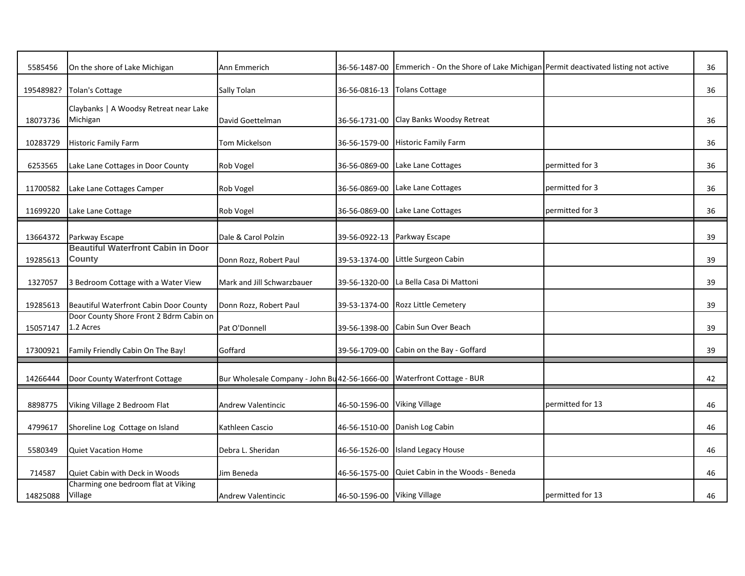| 5585456   | On the shore of Lake Michigan                              | Ann Emmerich                                                           | 36-56-1487-00                | Emmerich - On the Shore of Lake Michigan Permit deactivated listing not active |                  | 36 |
|-----------|------------------------------------------------------------|------------------------------------------------------------------------|------------------------------|--------------------------------------------------------------------------------|------------------|----|
| 19548982? | Tolan's Cottage                                            | Sally Tolan                                                            | 36-56-0816-13                | <b>Tolans Cottage</b>                                                          |                  | 36 |
| 18073736  | Claybanks   A Woodsy Retreat near Lake<br>Michigan         | David Goettelman                                                       |                              | 36-56-1731-00 Clay Banks Woodsy Retreat                                        |                  | 36 |
| 10283729  | Historic Family Farm                                       | <b>Tom Mickelson</b>                                                   |                              | 36-56-1579-00 Historic Family Farm                                             |                  | 36 |
| 6253565   | Lake Lane Cottages in Door County                          | Rob Vogel                                                              |                              | 36-56-0869-00 Lake Lane Cottages                                               | permitted for 3  | 36 |
| 11700582  | Lake Lane Cottages Camper                                  | Rob Vogel                                                              | 36-56-0869-00                | Lake Lane Cottages                                                             | permitted for 3  | 36 |
| 11699220  | Lake Lane Cottage                                          | Rob Vogel                                                              | 36-56-0869-00                | Lake Lane Cottages                                                             | permitted for 3  | 36 |
| 13664372  | Parkway Escape                                             | Dale & Carol Polzin                                                    | 39-56-0922-13                | Parkway Escape                                                                 |                  | 39 |
| 19285613  | <b>Beautiful Waterfront Cabin in Door</b><br><b>County</b> | Donn Rozz, Robert Paul                                                 | 39-53-1374-00                | Little Surgeon Cabin                                                           |                  | 39 |
| 1327057   | <b>Bedroom Cottage with a Water View</b>                   | Mark and Jill Schwarzbauer                                             |                              | 39-56-1320-00 La Bella Casa Di Mattoni                                         |                  | 39 |
| 19285613  | <b>Beautiful Waterfront Cabin Door County</b>              | Donn Rozz, Robert Paul                                                 | 39-53-1374-00                | Rozz Little Cemetery                                                           |                  | 39 |
| 15057147  | Door County Shore Front 2 Bdrm Cabin on<br>1.2 Acres       | Pat O'Donnell                                                          | 39-56-1398-00                | Cabin Sun Over Beach                                                           |                  | 39 |
| 17300921  | Family Friendly Cabin On The Bay!                          | Goffard                                                                | 39-56-1709-00                | Cabin on the Bay - Goffard                                                     |                  | 39 |
| 14266444  | Door County Waterfront Cottage                             | Bur Wholesale Company - John Bu 42-56-1666-00 Waterfront Cottage - BUR |                              |                                                                                |                  | 42 |
| 8898775   | Viking Village 2 Bedroom Flat                              | <b>Andrew Valentincic</b>                                              | 46-50-1596-00 Viking Village |                                                                                | permitted for 13 | 46 |
| 4799617   | Shoreline Log Cottage on Island                            | Kathleen Cascio                                                        |                              | 46-56-1510-00 Danish Log Cabin                                                 |                  | 46 |
| 5580349   | <b>Quiet Vacation Home</b>                                 | Debra L. Sheridan                                                      | 46-56-1526-00                | <b>Island Legacy House</b>                                                     |                  | 46 |
| 714587    | Quiet Cabin with Deck in Woods                             | Jim Beneda                                                             | 46-56-1575-00                | Quiet Cabin in the Woods - Beneda                                              |                  | 46 |
| 14825088  | Charming one bedroom flat at Viking<br>Village             | <b>Andrew Valentincic</b>                                              | 46-50-1596-00 Viking Village |                                                                                | permitted for 13 | 46 |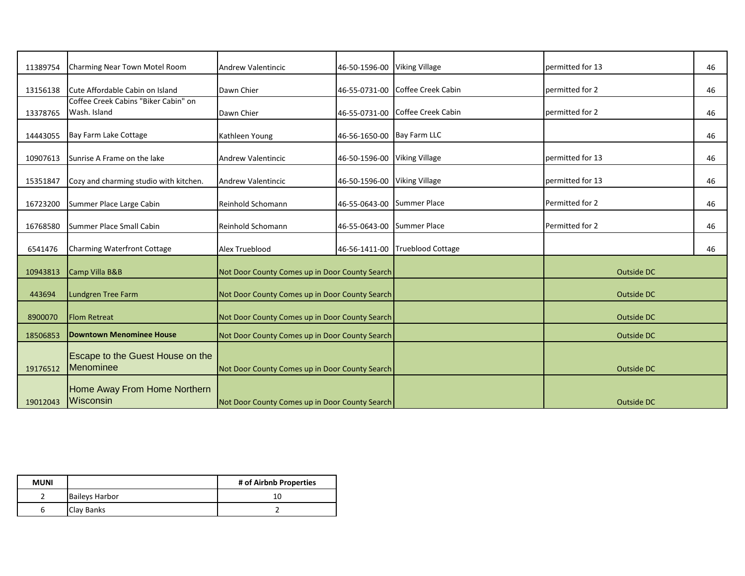| 11389754 | Charming Near Town Motel Room          | <b>Andrew Valentincic</b>                      | 46-50-1596-00 Viking Village |                                  | permitted for 13  | 46 |
|----------|----------------------------------------|------------------------------------------------|------------------------------|----------------------------------|-------------------|----|
| 13156138 | Cute Affordable Cabin on Island        | Dawn Chier                                     |                              | 46-55-0731-00 Coffee Creek Cabin | permitted for 2   | 46 |
|          | Coffee Creek Cabins "Biker Cabin" on   |                                                |                              |                                  |                   |    |
|          |                                        |                                                |                              |                                  |                   |    |
| 13378765 | Wash. Island                           | Dawn Chier                                     |                              | 46-55-0731-00 Coffee Creek Cabin | permitted for 2   | 46 |
| 14443055 | Bay Farm Lake Cottage                  | Kathleen Young                                 | 46-56-1650-00 Bay Farm LLC   |                                  |                   | 46 |
| 10907613 | Sunrise A Frame on the lake            | <b>Andrew Valentincic</b>                      | 46-50-1596-00 Viking Village |                                  | permitted for 13  | 46 |
|          |                                        |                                                |                              |                                  |                   |    |
| 15351847 | Cozy and charming studio with kitchen. | Andrew Valentincic                             | 46-50-1596-00 Viking Village |                                  | permitted for 13  | 46 |
|          |                                        |                                                |                              |                                  |                   |    |
| 16723200 | Summer Place Large Cabin               | Reinhold Schomann                              | 46-55-0643-00 Summer Place   |                                  | Permitted for 2   | 46 |
|          |                                        |                                                |                              |                                  |                   |    |
| 16768580 | Summer Place Small Cabin               | Reinhold Schomann                              | 46-55-0643-00 Summer Place   |                                  | Permitted for 2   | 46 |
|          |                                        |                                                |                              |                                  |                   |    |
| 6541476  | Charming Waterfront Cottage            | Alex Trueblood                                 |                              | 46-56-1411-00 Trueblood Cottage  |                   | 46 |
|          |                                        |                                                |                              |                                  |                   |    |
|          |                                        |                                                |                              |                                  |                   |    |
| 10943813 | Camp Villa B&B                         | Not Door County Comes up in Door County Search |                              |                                  | Outside DC        |    |
| 443694   | <b>Lundgren Tree Farm</b>              | Not Door County Comes up in Door County Search |                              |                                  | Outside DC        |    |
| 8900070  | <b>Flom Retreat</b>                    | Not Door County Comes up in Door County Search |                              |                                  | Outside DC        |    |
|          |                                        |                                                |                              |                                  |                   |    |
| 18506853 | <b>Downtown Menominee House</b>        | Not Door County Comes up in Door County Search |                              |                                  | Outside DC        |    |
|          | Escape to the Guest House on the       |                                                |                              |                                  |                   |    |
| 19176512 | Menominee                              | Not Door County Comes up in Door County Search |                              |                                  | Outside DC        |    |
|          |                                        |                                                |                              |                                  |                   |    |
|          | Home Away From Home Northern           |                                                |                              |                                  |                   |    |
| 19012043 | Wisconsin                              | Not Door County Comes up in Door County Search |                              |                                  | <b>Outside DC</b> |    |

| <b>MUNI</b> |                       | # of Airbnb Properties |
|-------------|-----------------------|------------------------|
|             | <b>Baileys Harbor</b> |                        |
|             | Clay Banks            |                        |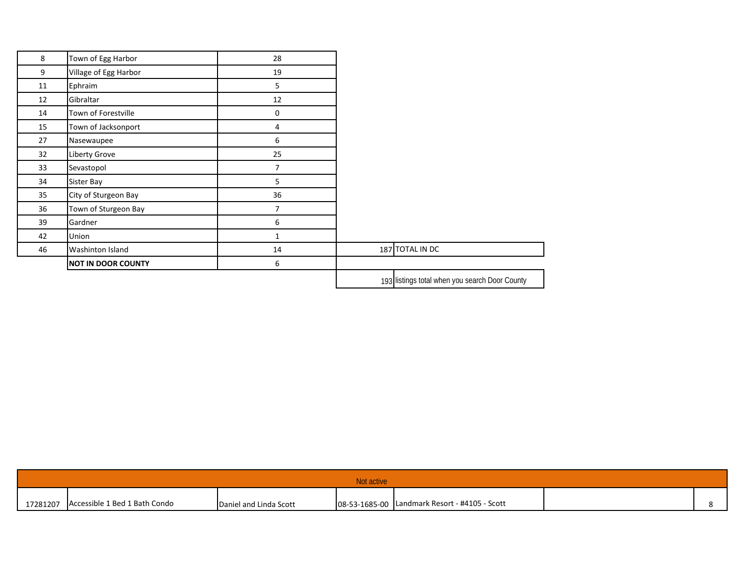| 8  | Town of Egg Harbor        | 28              |                                                |
|----|---------------------------|-----------------|------------------------------------------------|
| 9  | Village of Egg Harbor     | 19              |                                                |
| 11 | Ephraim                   | $5\phantom{.0}$ |                                                |
| 12 | Gibraltar                 | 12              |                                                |
| 14 | Town of Forestville       | 0               |                                                |
| 15 | Town of Jacksonport       | 4               |                                                |
| 27 | Nasewaupee                | 6               |                                                |
| 32 | <b>Liberty Grove</b>      | 25              |                                                |
| 33 | Sevastopol                | $\overline{7}$  |                                                |
| 34 | Sister Bay                | 5               |                                                |
| 35 | City of Sturgeon Bay      | 36              |                                                |
| 36 | Town of Sturgeon Bay      | 7               |                                                |
| 39 | Gardner                   | 6               |                                                |
| 42 | Union                     | 1               |                                                |
| 46 | <b>Washinton Island</b>   | 14              | 187 TOTAL IN DC                                |
|    | <b>NOT IN DOOR COUNTY</b> | 6               |                                                |
|    |                           |                 | 193 listings total when you search Door County |

| Not active |                               |                        |  |                                               |  |  |  |
|------------|-------------------------------|------------------------|--|-----------------------------------------------|--|--|--|
| 17281207   | Accessible 1 Bed 1 Bath Condo | Daniel and Linda Scott |  | 08-53-1685-00 Landmark Resort - #4105 - Scott |  |  |  |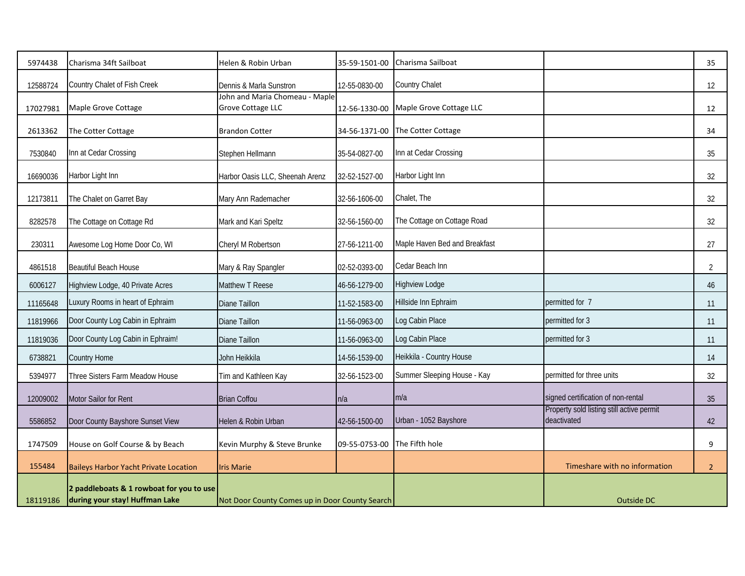| 5974438  | Charisma 34ft Sailboat                                                     | Helen & Robin Urban                                        | 35-59-1501-00 | Charisma Sailboat             |                                                          | 35             |
|----------|----------------------------------------------------------------------------|------------------------------------------------------------|---------------|-------------------------------|----------------------------------------------------------|----------------|
| 12588724 | Country Chalet of Fish Creek                                               | Dennis & Marla Sunstron                                    | 12-55-0830-00 | Country Chalet                |                                                          | 12             |
| 17027981 | Maple Grove Cottage                                                        | John and Maria Chomeau - Maple<br><b>Grove Cottage LLC</b> | 12-56-1330-00 | Maple Grove Cottage LLC       |                                                          | 12             |
| 2613362  | The Cotter Cottage                                                         | <b>Brandon Cotter</b>                                      | 34-56-1371-00 | The Cotter Cottage            |                                                          | 34             |
| 7530840  | Inn at Cedar Crossing                                                      | Stephen Hellmann                                           | 35-54-0827-00 | Inn at Cedar Crossing         |                                                          | 35             |
| 16690036 | Harbor Light Inn                                                           | Harbor Oasis LLC, Sheenah Arenz                            | 32-52-1527-00 | Harbor Light Inn              |                                                          | 32             |
| 12173811 | The Chalet on Garret Bay                                                   | Mary Ann Rademacher                                        | 32-56-1606-00 | Chalet, The                   |                                                          | 32             |
| 8282578  | The Cottage on Cottage Rd                                                  | Mark and Kari Speltz                                       | 32-56-1560-00 | The Cottage on Cottage Road   |                                                          | 32             |
| 230311   | Awesome Log Home Door Co, WI                                               | Cheryl M Robertson                                         | 27-56-1211-00 | Maple Haven Bed and Breakfast |                                                          | 27             |
| 4861518  | Beautiful Beach House                                                      | Mary & Ray Spangler                                        | 02-52-0393-00 | Cedar Beach Inn               |                                                          | $\overline{2}$ |
| 6006127  | Highview Lodge, 40 Private Acres                                           | Matthew T Reese                                            | 46-56-1279-00 | <b>Highview Lodge</b>         |                                                          | 46             |
| 11165648 | Luxury Rooms in heart of Ephraim                                           | <b>Diane Taillon</b>                                       | 11-52-1583-00 | Hillside Inn Ephraim          | permitted for 7                                          | 11             |
| 11819966 | Door County Log Cabin in Ephraim                                           | <b>Diane Taillon</b>                                       | 11-56-0963-00 | Log Cabin Place               | permitted for 3                                          | 11             |
| 11819036 | Door County Log Cabin in Ephraim!                                          | <b>Diane Taillon</b>                                       | 11-56-0963-00 | Log Cabin Place               | permitted for 3                                          | 11             |
| 6738821  | <b>Country Home</b>                                                        | John Heikkila                                              | 14-56-1539-00 | Heikkila - Country House      |                                                          | 14             |
| 5394977  | Three Sisters Farm Meadow House                                            | Tim and Kathleen Kay                                       | 32-56-1523-00 | Summer Sleeping House - Kay   | permitted for three units                                | 32             |
| 12009002 | Motor Sailor for Rent                                                      | <b>Brian Coffou</b>                                        | n/a           | m/a                           | signed certification of non-rental                       | 35             |
| 5586852  | Door County Bayshore Sunset View                                           | Helen & Robin Urban                                        | 42-56-1500-00 | Urban - 1052 Bayshore         | Property sold listing still active permit<br>deactivated | 42             |
| 1747509  | House on Golf Course & by Beach                                            | Kevin Murphy & Steve Brunke                                | 09-55-0753-00 | The Fifth hole                |                                                          | 9              |
| 155484   | <b>Baileys Harbor Yacht Private Location</b>                               | <b>Iris Marie</b>                                          |               |                               | Timeshare with no information                            | 2 <sup>1</sup> |
| 18119186 | 2 paddleboats & 1 rowboat for you to use<br>during your stay! Huffman Lake | Not Door County Comes up in Door County Search             |               |                               | <b>Outside DC</b>                                        |                |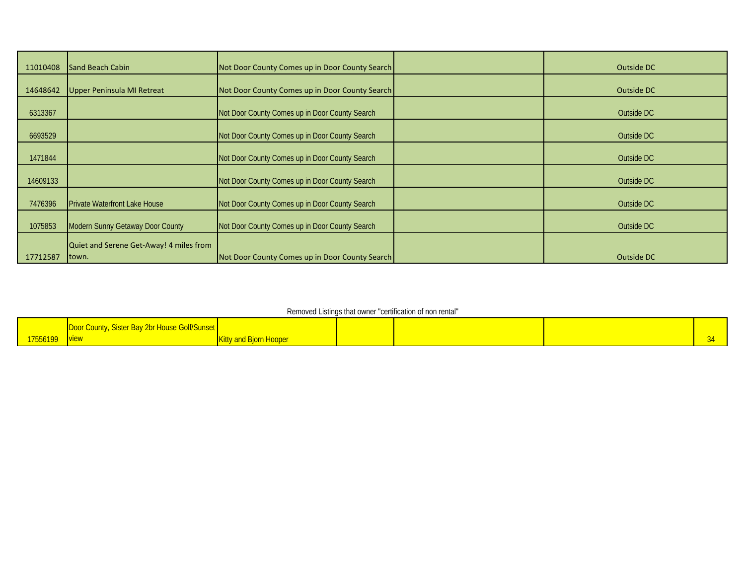| 11010408 | Sand Beach Cabin                                 | Not Door County Comes up in Door County Search |  | Outside DC |
|----------|--------------------------------------------------|------------------------------------------------|--|------------|
| 14648642 | <b>Upper Peninsula MI Retreat</b>                | Not Door County Comes up in Door County Search |  | Outside DC |
| 6313367  |                                                  | Not Door County Comes up in Door County Search |  | Outside DC |
| 6693529  |                                                  | Not Door County Comes up in Door County Search |  | Outside DC |
| 1471844  |                                                  | Not Door County Comes up in Door County Search |  | Outside DC |
| 14609133 |                                                  | Not Door County Comes up in Door County Search |  | Outside DC |
| 7476396  | <b>Private Waterfront Lake House</b>             | Not Door County Comes up in Door County Search |  | Outside DC |
| 1075853  | Modern Sunny Getaway Door County                 | Not Door County Comes up in Door County Search |  | Outside DC |
| 17712587 | Quiet and Serene Get-Away! 4 miles from<br>town. | Not Door County Comes up in Door County Search |  | Outside DC |

## Removed Listings that owner "certification of non rental"

|                            | Door County, Sister Bay 2br House Golf/Sunset |                               |  |  |
|----------------------------|-----------------------------------------------|-------------------------------|--|--|
| <mark>7556199  view</mark> |                                               | <b>Kitty and Biorn Hooper</b> |  |  |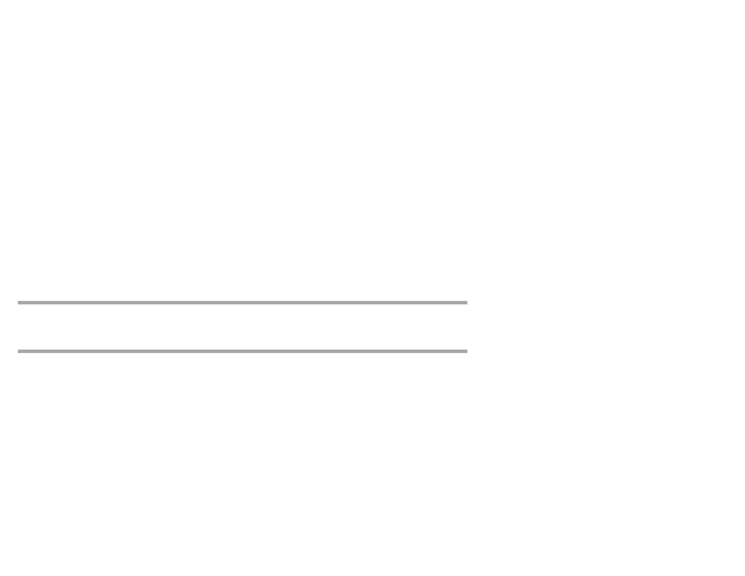п 的,我们也不会有什么。""我们的人,我们也不会有什么?""我们的人,我们也不会有什么?""我们的人,我们也不会有什么?""我们的人,我们也不会有什么?""我们的 **这个人的人,我们也不能在这个人的人,我们也不能在这个人的人,我们也不能在这个人的人,我们也不能在这个人的人,我们也不能在这个人的人,我们也不能**是我们的人,我们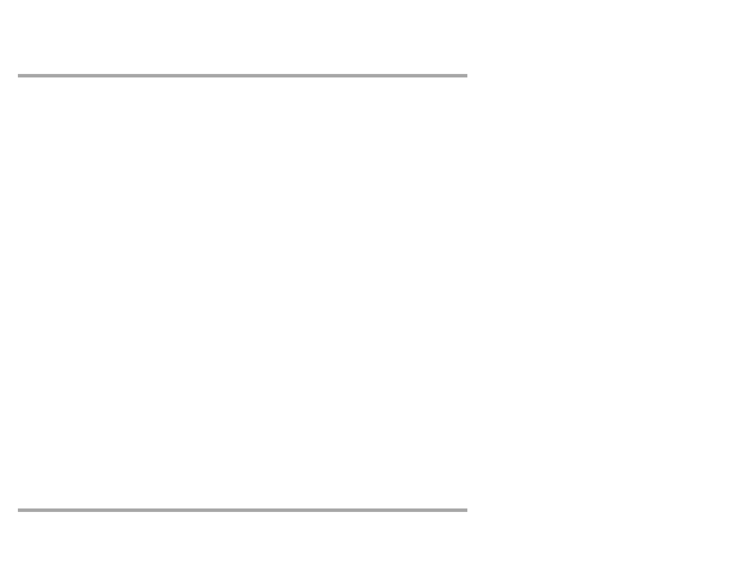the control of the control of the control of m. ,我们也不会有什么。""我们的人,我们也不会有什么?""我们的人,我们也不会有什么?""我们的人,我们也不会有什么?""我们的人,我们也不会有什么?""我们的人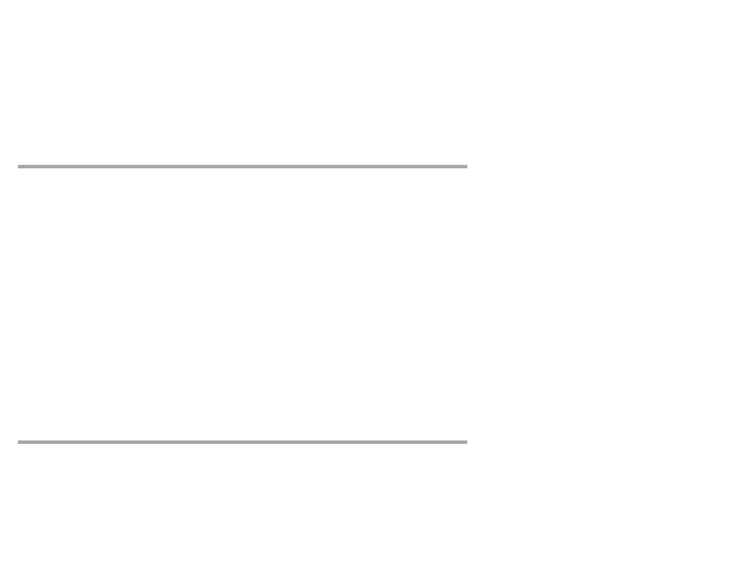m. and the control of the control of the control of the control of the control of the control of the control of the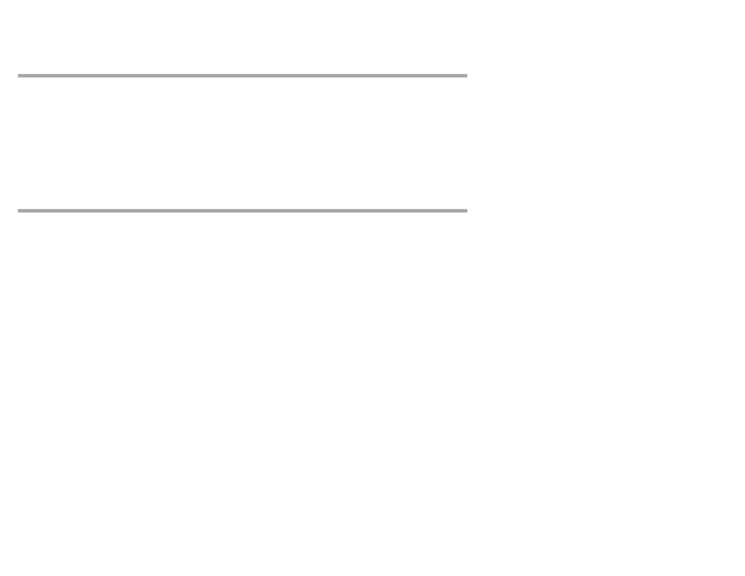and the control of the control of the control of the control of the control of the control of the control of the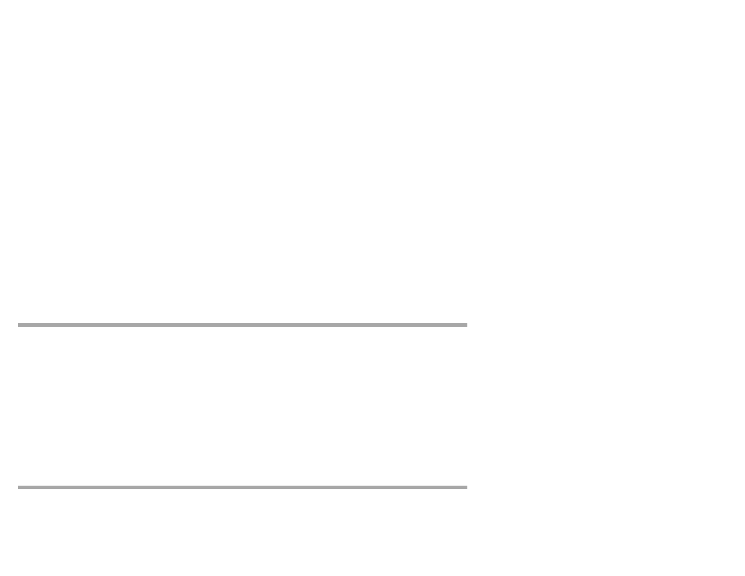,我们也不会有什么?""我们的人,我们也不会有什么?""我们的人,我们也不会有什么?""我们的人,我们也不会有什么?""我们的人,我们也不会有什么?""我们的人 ,我们也不会有什么?""我们的人,我们也不会有什么?""我们的人,我们也不会有什么?""我们的人,我们也不会有什么?""我们的人,我们也不会有什么?""我们的人 ×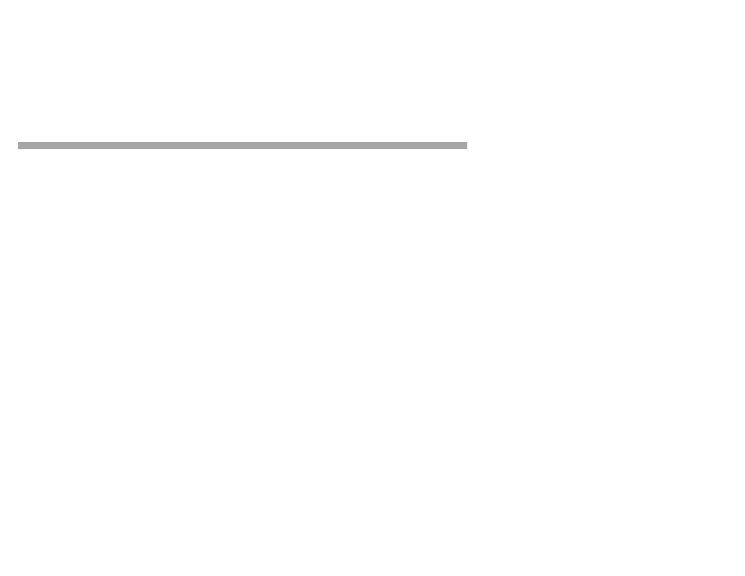a sa kacamatan ing Kabupatèn Kabupatèn Kabupatèn Kabupatèn Kabupatèn Kabupatèn Kabupatèn Kabupatèn Kabupatèn K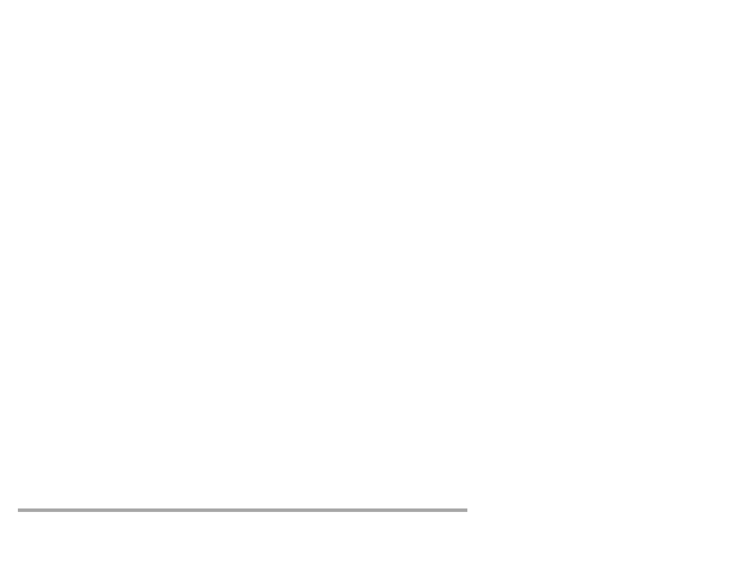,我们也不会有什么。""我们的人,我们也不会有什么?""我们的人,我们也不会有什么?""我们的人,我们也不会有什么?""我们的人,我们也不会有什么?""我们的人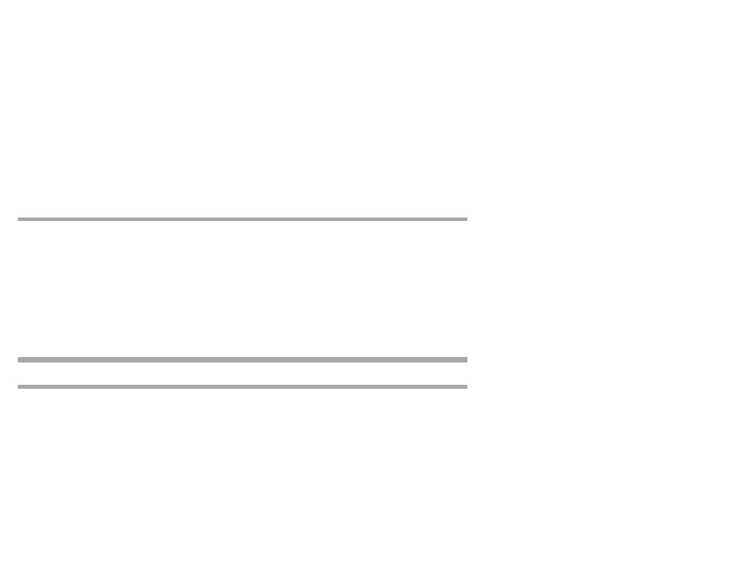的,我们也不会有什么。""我们的人,我们也不会有什么?""我们的人,我们也不会有什么?""我们的人,我们也不会有什么?""我们的人,我们也不会有什么?""我们的 and the control of the control of the control of the control of the control of the control of the control of the

的,我们也不会有什么?""我们的人,我们也不会有什么?""我们的人,我们也不会有什么?""我们的人,我们也不会有什么?""我们的人,我们也不会有什么?""我们的